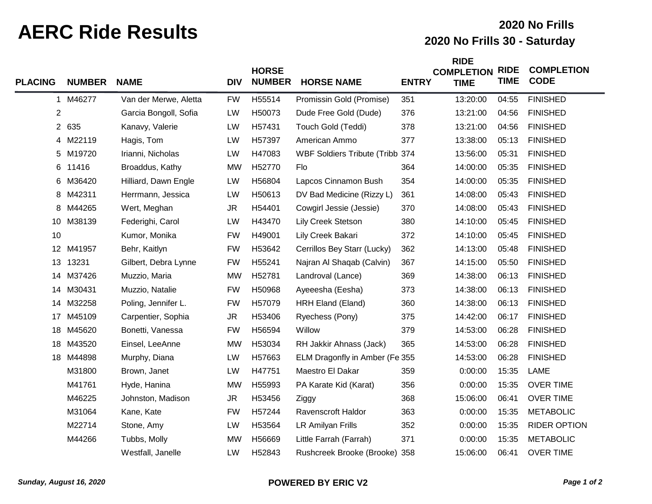## **AERC Ride Results 2020 No Frills 30 - Saturday**

## **2020 No Frills**

| <b>PLACING</b> | <b>NUMBER</b> | <b>NAME</b>           | <b>DIV</b> | <b>HORSE</b><br><b>NUMBER</b> | <b>HORSE NAME</b>               | <b>ENTRY</b> | <b>RIDE</b><br><b>COMPLETION</b><br><b>TIME</b> | <b>RIDE</b><br><b>TIME</b> | <b>COMPLETION</b><br><b>CODE</b> |
|----------------|---------------|-----------------------|------------|-------------------------------|---------------------------------|--------------|-------------------------------------------------|----------------------------|----------------------------------|
|                | 1 M46277      | Van der Merwe, Aletta | <b>FW</b>  | H55514                        | Promissin Gold (Promise)        | 351          | 13:20:00                                        | 04:55                      | <b>FINISHED</b>                  |
| $\overline{c}$ |               | Garcia Bongoll, Sofia | LW         | H50073                        | Dude Free Gold (Dude)           | 376          | 13:21:00                                        | 04:56                      | <b>FINISHED</b>                  |
|                | 2 635         | Kanavy, Valerie       | LW         | H57431                        | Touch Gold (Teddi)              | 378          | 13:21:00                                        | 04:56                      | <b>FINISHED</b>                  |
| 4              | M22119        | Hagis, Tom            | LW         | H57397                        | American Ammo                   | 377          | 13:38:00                                        | 05:13                      | <b>FINISHED</b>                  |
|                | 5 M19720      | Irianni, Nicholas     | LW         | H47083                        | WBF Soldiers Tribute (Tribb 374 |              | 13:56:00                                        | 05:31                      | <b>FINISHED</b>                  |
| 6              | 11416         | Broaddus, Kathy       | <b>MW</b>  | H52770                        | Flo                             | 364          | 14:00:00                                        | 05:35                      | <b>FINISHED</b>                  |
| 6              | M36420        | Hilliard, Dawn Engle  | LW         | H56804                        | Lapcos Cinnamon Bush            | 354          | 14:00:00                                        | 05:35                      | <b>FINISHED</b>                  |
| 8              | M42311        | Herrmann, Jessica     | LW         | H50613                        | DV Bad Medicine (Rizzy L)       | 361          | 14:08:00                                        | 05:43                      | <b>FINISHED</b>                  |
| 8              | M44265        | Wert, Meghan          | <b>JR</b>  | H54401                        | Cowgirl Jessie (Jessie)         | 370          | 14:08:00                                        | 05:43                      | <b>FINISHED</b>                  |
| 10             | M38139        | Federighi, Carol      | LW         | H43470                        | Lily Creek Stetson              | 380          | 14:10:00                                        | 05:45                      | <b>FINISHED</b>                  |
| 10             |               | Kumor, Monika         | <b>FW</b>  | H49001                        | Lily Creek Bakari               | 372          | 14:10:00                                        | 05:45                      | <b>FINISHED</b>                  |
|                | 12 M41957     | Behr, Kaitlyn         | <b>FW</b>  | H53642                        | Cerrillos Bey Starr (Lucky)     | 362          | 14:13:00                                        | 05:48                      | <b>FINISHED</b>                  |
| 13             | 13231         | Gilbert, Debra Lynne  | <b>FW</b>  | H55241                        | Najran Al Shaqab (Calvin)       | 367          | 14:15:00                                        | 05:50                      | <b>FINISHED</b>                  |
|                | 14 M37426     | Muzzio, Maria         | <b>MW</b>  | H52781                        | Landroval (Lance)               | 369          | 14:38:00                                        | 06:13                      | <b>FINISHED</b>                  |
|                | 14 M30431     | Muzzio, Natalie       | <b>FW</b>  | H50968                        | Ayeeesha (Eesha)                | 373          | 14:38:00                                        | 06:13                      | <b>FINISHED</b>                  |
|                | 14 M32258     | Poling, Jennifer L.   | <b>FW</b>  | H57079                        | HRH Eland (Eland)               | 360          | 14:38:00                                        | 06:13                      | <b>FINISHED</b>                  |
| 17             | M45109        | Carpentier, Sophia    | <b>JR</b>  | H53406                        | Ryechess (Pony)                 | 375          | 14:42:00                                        | 06:17                      | <b>FINISHED</b>                  |
|                | 18 M45620     | Bonetti, Vanessa      | <b>FW</b>  | H56594                        | Willow                          | 379          | 14:53:00                                        | 06:28                      | <b>FINISHED</b>                  |
|                | 18 M43520     | Einsel, LeeAnne       | <b>MW</b>  | H53034                        | RH Jakkir Ahnass (Jack)         | 365          | 14:53:00                                        | 06:28                      | <b>FINISHED</b>                  |
|                | 18 M44898     | Murphy, Diana         | LW         | H57663                        | ELM Dragonfly in Amber (Fe 355  |              | 14:53:00                                        | 06:28                      | <b>FINISHED</b>                  |
|                | M31800        | Brown, Janet          | LW         | H47751                        | Maestro El Dakar                | 359          | 0:00:00                                         | 15:35                      | LAME                             |
|                | M41761        | Hyde, Hanina          | <b>MW</b>  | H55993                        | PA Karate Kid (Karat)           | 356          | 0:00:00                                         | 15:35                      | <b>OVER TIME</b>                 |
|                | M46225        | Johnston, Madison     | <b>JR</b>  | H53456                        | Ziggy                           | 368          | 15:06:00                                        | 06:41                      | <b>OVER TIME</b>                 |
|                | M31064        | Kane, Kate            | <b>FW</b>  | H57244                        | Ravenscroft Haldor              | 363          | 0:00:00                                         | 15:35                      | <b>METABOLIC</b>                 |
|                | M22714        | Stone, Amy            | LW         | H53564                        | LR Amilyan Frills               | 352          | 0:00:00                                         | 15:35                      | <b>RIDER OPTION</b>              |
|                | M44266        | Tubbs, Molly          | <b>MW</b>  | H56669                        | Little Farrah (Farrah)          | 371          | 0:00:00                                         | 15:35                      | <b>METABOLIC</b>                 |
|                |               | Westfall, Janelle     | LW         | H52843                        | Rushcreek Brooke (Brooke)       | 358          | 15:06:00                                        | 06:41                      | <b>OVER TIME</b>                 |